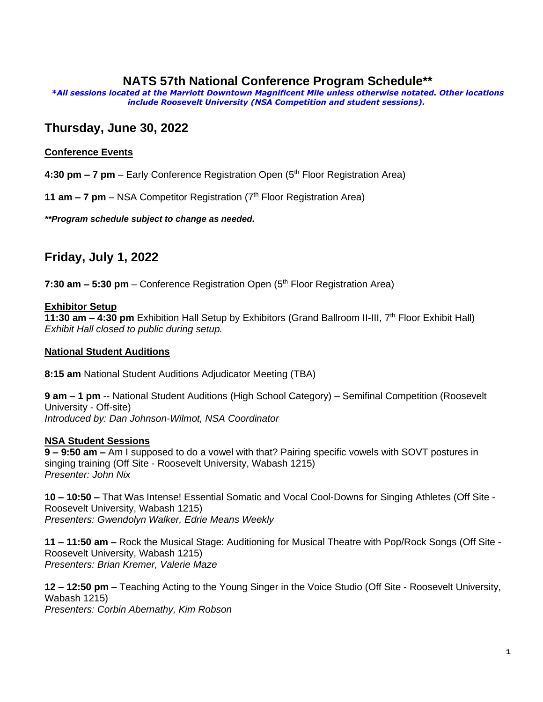## **NATS 57th National Conference Program Schedule\*\***

*\*All sessions located at the Marriott Downtown Magnificent Mile unless otherwise notated. Other locations include Roosevelt University (NSA Competition and student sessions).*

# **Thursday, June 30, 2022**

### **Conference Events**

**4:30 pm – 7 pm** – Early Conference Registration Open (5 th Floor Registration Area)

**11 am – 7 pm** – NSA Competitor Registration (7<sup>th</sup> Floor Registration Area)

*\*\*Program schedule subject to change as needed.*

# **Friday, July 1, 2022**

**7:30 am – 5:30 pm** – Conference Registration Open (5 th Floor Registration Area)

#### **Exhibitor Setup**

**11:30 am – 4:30 pm** Exhibition Hall Setup by Exhibitors (Grand Ballroom II-III, 7th Floor Exhibit Hall) *Exhibit Hall closed to public during setup.*

#### **National Student Auditions**

**8:15 am** National Student Auditions Adjudicator Meeting (TBA)

**9 am – 1 pm** -- National Student Auditions (High School Category) – Semifinal Competition (Roosevelt University - Off-site) *Introduced by: Dan Johnson-Wilmot, NSA Coordinator*

### **NSA Student Sessions**

**9 – 9:50 am –** Am I supposed to do a vowel with that? Pairing specific vowels with SOVT postures in singing training (Off Site - Roosevelt University, Wabash 1215) *Presenter: John Nix*

**10 – 10:50 –** That Was Intense! Essential Somatic and Vocal Cool-Downs for Singing Athletes (Off Site - Roosevelt University, Wabash 1215) *Presenters: Gwendolyn Walker, Edrie Means Weekly*

**11 – 11:50 am –** Rock the Musical Stage: Auditioning for Musical Theatre with Pop/Rock Songs (Off Site - Roosevelt University, Wabash 1215) *Presenters: Brian Kremer, Valerie Maze*

**12 – 12:50 pm –** Teaching Acting to the Young Singer in the Voice Studio (Off Site - Roosevelt University, Wabash 1215)

*Presenters: Corbin Abernathy, Kim Robson*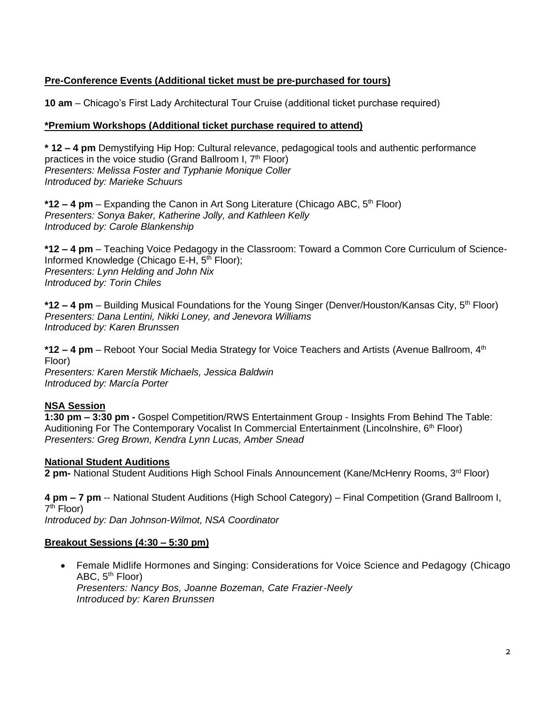### **Pre-Conference Events (Additional ticket must be pre-purchased for tours)**

**10 am** – Chicago's First Lady Architectural Tour Cruise (additional ticket purchase required)

### **\*Premium Workshops (Additional ticket purchase required to attend)**

**\* 12 – 4 pm** Demystifying Hip Hop: Cultural relevance, pedagogical tools and authentic performance practices in the voice studio (Grand Ballroom I, 7<sup>th</sup> Floor) *Presenters: Melissa Foster and Typhanie Monique Coller Introduced by: Marieke Schuurs*

**\*12 – 4 pm** – Expanding the Canon in Art Song Literature (Chicago ABC, 5th Floor) *Presenters: Sonya Baker, Katherine Jolly, and Kathleen Kelly Introduced by: Carole Blankenship*

**\*12 – 4 pm** – Teaching Voice Pedagogy in the Classroom: Toward a Common Core Curriculum of Science-Informed Knowledge (Chicago E-H, 5<sup>th</sup> Floor); *Presenters: Lynn Helding and John Nix Introduced by: Torin Chiles*

**\*12 – 4 pm** – Building Musical Foundations for the Young Singer (Denver/Houston/Kansas City, 5th Floor) *Presenters: Dana Lentini, Nikki Loney, and Jenevora Williams Introduced by: Karen Brunssen*

**\*12 – 4 pm** – Reboot Your Social Media Strategy for Voice Teachers and Artists (Avenue Ballroom, 4th Floor)

*Presenters: Karen Merstik Michaels, Jessica Baldwin Introduced by: Marcía Porter*

### **NSA Session**

**1:30 pm – 3:30 pm -** Gospel Competition/RWS Entertainment Group - Insights From Behind The Table: Auditioning For The Contemporary Vocalist In Commercial Entertainment (Lincolnshire, 6<sup>th</sup> Floor) *Presenters: Greg Brown, Kendra Lynn Lucas, Amber Snead*

### **National Student Auditions**

**2 pm-** National Student Auditions High School Finals Announcement (Kane/McHenry Rooms, 3rd Floor)

**4 pm – 7 pm** -- National Student Auditions (High School Category) – Final Competition (Grand Ballroom I, 7<sup>th</sup> Floor)

*Introduced by: Dan Johnson-Wilmot, NSA Coordinator*

### **Breakout Sessions (4:30 – 5:30 pm)**

• Female Midlife Hormones and Singing: Considerations for Voice Science and Pedagogy (Chicago ABC, 5<sup>th</sup> Floor) *Presenters: Nancy Bos, Joanne Bozeman, Cate Frazier-Neely Introduced by: Karen Brunssen*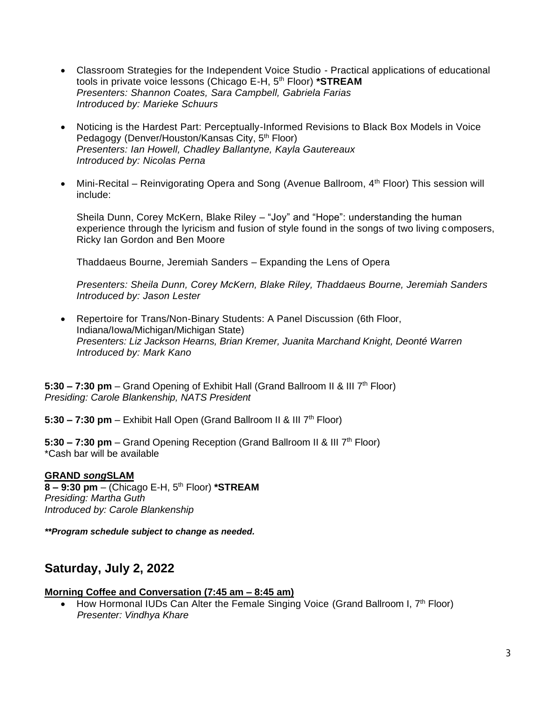- Classroom Strategies for the Independent Voice Studio Practical applications of educational tools in private voice lessons (Chicago E-H, 5th Floor) **\*STREAM** *Presenters: Shannon Coates, Sara Campbell, Gabriela Farias Introduced by: Marieke Schuurs*
- Noticing is the Hardest Part: Perceptually-Informed Revisions to Black Box Models in Voice Pedagogy (Denver/Houston/Kansas City, 5<sup>th</sup> Floor) *Presenters: Ian Howell, Chadley Ballantyne, Kayla Gautereaux Introduced by: Nicolas Perna*
- Mini-Recital Reinvigorating Opera and Song (Avenue Ballroom, 4<sup>th</sup> Floor) This session will include:

Sheila Dunn, Corey McKern, Blake Riley – "Joy" and "Hope": understanding the human experience through the lyricism and fusion of style found in the songs of two living composers, Ricky Ian Gordon and Ben Moore

Thaddaeus Bourne, Jeremiah Sanders – Expanding the Lens of Opera

*Presenters: Sheila Dunn, Corey McKern, Blake Riley, Thaddaeus Bourne, Jeremiah Sanders Introduced by: Jason Lester*

• Repertoire for Trans/Non-Binary Students: A Panel Discussion (6th Floor, Indiana/Iowa/Michigan/Michigan State) *Presenters: Liz Jackson Hearns, Brian Kremer, Juanita Marchand Knight, Deonté Warren Introduced by: Mark Kano*

**5:30 – 7:30 pm** – Grand Opening of Exhibit Hall (Grand Ballroom II & III 7th Floor) *Presiding: Carole Blankenship, NATS President*

**5:30 – 7:30 pm** – Exhibit Hall Open (Grand Ballroom II & III 7th Floor)

**5:30 – 7:30 pm** – Grand Opening Reception (Grand Ballroom II & III 7th Floor) \*Cash bar will be available

### **GRAND** *song***SLAM**

**8 – 9:30 pm** – (Chicago E-H, 5th Floor) **\*STREAM** *Presiding: Martha Guth Introduced by: Carole Blankenship*

*\*\*Program schedule subject to change as needed.*

# **Saturday, July 2, 2022**

### **Morning Coffee and Conversation (7:45 am – 8:45 am)**

• How Hormonal IUDs Can Alter the Female Singing Voice (Grand Ballroom I,  $7<sup>th</sup>$  Floor)  *Presenter: Vindhya Khare*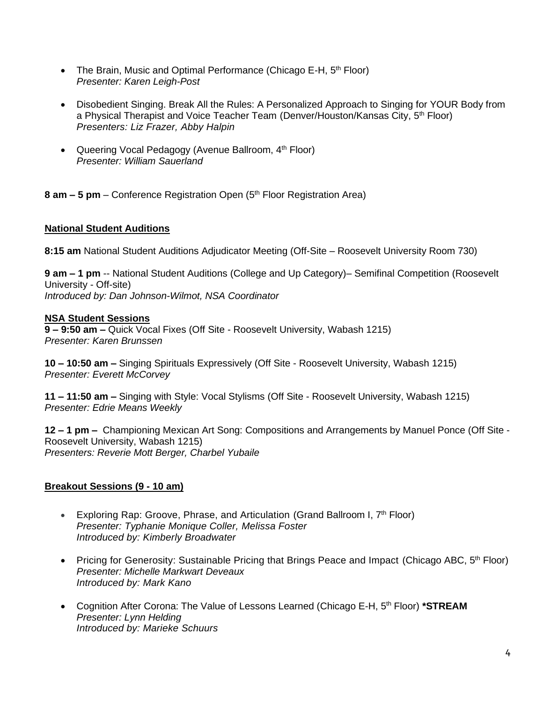- The Brain, Music and Optimal Performance (Chicago E-H,  $5<sup>th</sup>$  Floor) *Presenter: Karen Leigh-Post*
- Disobedient Singing. Break All the Rules: A Personalized Approach to Singing for YOUR Body from a Physical Therapist and Voice Teacher Team (Denver/Houston/Kansas City, 5<sup>th</sup> Floor) *Presenters: Liz Frazer, Abby Halpin*
- Queering Vocal Pedagogy (Avenue Ballroom, 4<sup>th</sup> Floor) *Presenter: William Sauerland*

**8 am – 5 pm** – Conference Registration Open (5 th Floor Registration Area)

### **National Student Auditions**

**8:15 am** National Student Auditions Adjudicator Meeting (Off-Site – Roosevelt University Room 730)

**9 am – 1 pm** -- National Student Auditions (College and Up Category)– Semifinal Competition (Roosevelt University - Off-site) *Introduced by: Dan Johnson-Wilmot, NSA Coordinator*

### **NSA Student Sessions**

**9 – 9:50 am –** Quick Vocal Fixes (Off Site - Roosevelt University, Wabash 1215) *Presenter: Karen Brunssen*

**10 – 10:50 am –** Singing Spirituals Expressively (Off Site - Roosevelt University, Wabash 1215) *Presenter: Everett McCorvey*

**11 – 11:50 am –** Singing with Style: Vocal Stylisms (Off Site - Roosevelt University, Wabash 1215) *Presenter: Edrie Means Weekly*

**12 – 1 pm –** Championing Mexican Art Song: Compositions and Arrangements by Manuel Ponce (Off Site - Roosevelt University, Wabash 1215) *Presenters: Reverie Mott Berger, Charbel Yubaile*

### **Breakout Sessions (9 - 10 am)**

- Exploring Rap: Groove, Phrase, and Articulation (Grand Ballroom I, 7<sup>th</sup> Floor) *Presenter: Typhanie Monique Coller, Melissa Foster Introduced by: Kimberly Broadwater*
- Pricing for Generosity: Sustainable Pricing that Brings Peace and Impact (Chicago ABC, 5<sup>th</sup> Floor) *Presenter: Michelle Markwart Deveaux Introduced by: Mark Kano*
- Cognition After Corona: The Value of Lessons Learned (Chicago E-H, 5<sup>th</sup> Floor) \*STREAM *Presenter: Lynn Helding Introduced by: Marieke Schuurs*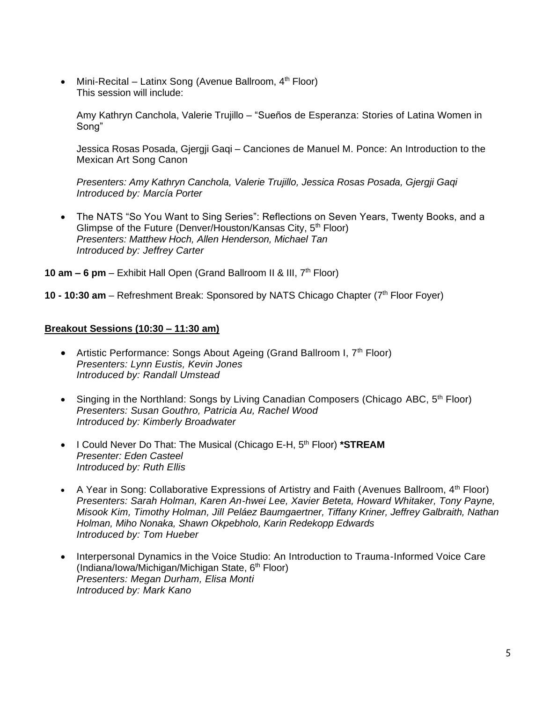• Mini-Recital – Latinx Song (Avenue Ballroom,  $4<sup>th</sup>$  Floor) This session will include:

Amy Kathryn Canchola, Valerie Trujillo – "Sueños de Esperanza: Stories of Latina Women in Song"

Jessica Rosas Posada, Gjergji Gaqi – Canciones de Manuel M. Ponce: An Introduction to the Mexican Art Song Canon

*Presenters: Amy Kathryn Canchola, Valerie Trujillo, Jessica Rosas Posada, Gjergji Gaqi Introduced by: Marcía Porter*

• The NATS "So You Want to Sing Series": Reflections on Seven Years, Twenty Books, and a Glimpse of the Future (Denver/Houston/Kansas City, 5<sup>th</sup> Floor) *Presenters: Matthew Hoch, Allen Henderson, Michael Tan Introduced by: Jeffrey Carter*

**10 am – 6 pm** – Exhibit Hall Open (Grand Ballroom II & III, 7th Floor)

10 - 10:30 am - Refreshment Break: Sponsored by NATS Chicago Chapter (7<sup>th</sup> Floor Foyer)

#### **Breakout Sessions (10:30 – 11:30 am)**

- Artistic Performance: Songs About Ageing (Grand Ballroom I, 7<sup>th</sup> Floor) *Presenters: Lynn Eustis, Kevin Jones Introduced by: Randall Umstead*
- Singing in the Northland: Songs by Living Canadian Composers (Chicago ABC,  $5<sup>th</sup>$  Floor) *Presenters: Susan Gouthro, Patricia Au, Rachel Wood Introduced by: Kimberly Broadwater*
- I Could Never Do That: The Musical (Chicago E-H, 5<sup>th</sup> Floor) \***STREAM** *Presenter: Eden Casteel Introduced by: Ruth Ellis*
- A Year in Song: Collaborative Expressions of Artistry and Faith (Avenues Ballroom,  $4<sup>th</sup>$  Floor) *Presenters: Sarah Holman, Karen An-hwei Lee, Xavier Beteta, Howard Whitaker, Tony Payne, Misook Kim, Timothy Holman, Jill Peláez Baumgaertner, Tiffany Kriner, Jeffrey Galbraith, Nathan Holman, Miho Nonaka, Shawn Okpebholo, Karin Redekopp Edwards Introduced by: Tom Hueber*
- Interpersonal Dynamics in the Voice Studio: An Introduction to Trauma-Informed Voice Care  $(Indiana/lowa/Michaelon/Michael)$  State,  $6<sup>th</sup> Floor)$ *Presenters: Megan Durham, Elisa Monti Introduced by: Mark Kano*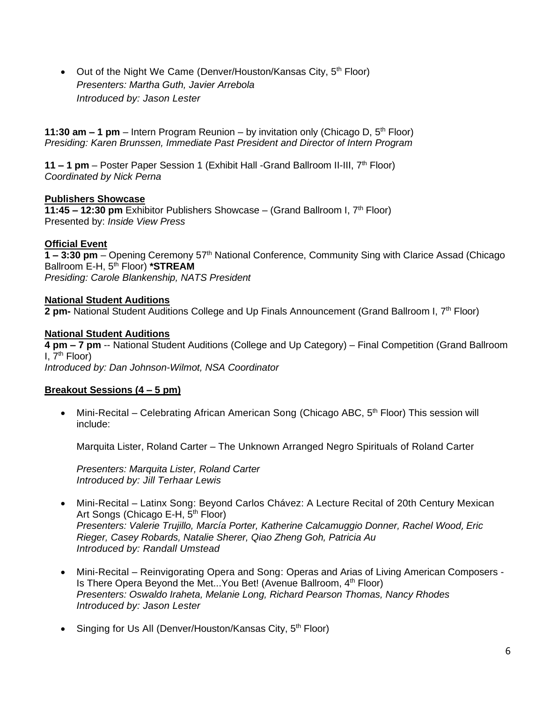• Out of the Night We Came (Denver/Houston/Kansas City,  $5<sup>th</sup>$  Floor) *Presenters: Martha Guth, Javier Arrebola Introduced by: Jason Lester*

**11:30 am – 1 pm** – Intern Program Reunion – by invitation only (Chicago D, 5<sup>th</sup> Floor) *Presiding: Karen Brunssen, Immediate Past President and Director of Intern Program*

**11 – 1 pm** – Poster Paper Session 1 (Exhibit Hall -Grand Ballroom II-III, 7th Floor) *Coordinated by Nick Perna*

### **Publishers Showcase**

**11:45 – 12:30 pm** Exhibitor Publishers Showcase – (Grand Ballroom I, 7th Floor) Presented by: *Inside View Press*

### **Official Event**

**1 – 3:30 pm** – Opening Ceremony 57th National Conference, Community Sing with Clarice Assad (Chicago Ballroom E-H, 5th Floor) **\*STREAM** *Presiding: Carole Blankenship, NATS President*

### **National Student Auditions**

**2 pm-** National Student Auditions College and Up Finals Announcement (Grand Ballroom I, 7th Floor)

### **National Student Auditions**

**4 pm – 7 pm** -- National Student Auditions (College and Up Category) – Final Competition (Grand Ballroom I,  $7<sup>th</sup>$  Floor) *Introduced by: Dan Johnson-Wilmot, NSA Coordinator*

### **Breakout Sessions (4 – 5 pm)**

• Mini-Recital – Celebrating African American Song (Chicago ABC,  $5<sup>th</sup>$  Floor) This session will include:

Marquita Lister, Roland Carter – The Unknown Arranged Negro Spirituals of Roland Carter

*Presenters: Marquita Lister, Roland Carter Introduced by: Jill Terhaar Lewis*

- Mini-Recital Latinx Song: Beyond Carlos Chávez: A Lecture Recital of 20th Century Mexican Art Songs (Chicago E-H, 5<sup>th</sup> Floor) *Presenters: Valerie Trujillo, Marcía Porter, Katherine Calcamuggio Donner, Rachel Wood*, *Eric Rieger, Casey Robards, Natalie Sherer, Qiao Zheng Goh, Patricia Au Introduced by: Randall Umstead*
- Mini-Recital Reinvigorating Opera and Song: Operas and Arias of Living American Composers Is There Opera Beyond the Met...You Bet! (Avenue Ballroom, 4<sup>th</sup> Floor) *Presenters: Oswaldo Iraheta, Melanie Long, Richard Pearson Thomas, Nancy Rhodes Introduced by: Jason Lester*
- Singing for Us All (Denver/Houston/Kansas City,  $5<sup>th</sup>$  Floor)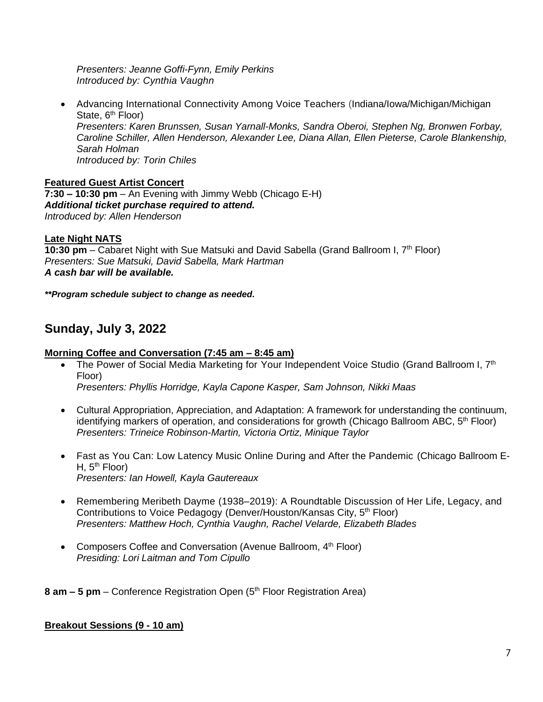*Presenters: Jeanne Goffi-Fynn, Emily Perkins Introduced by: Cynthia Vaughn*

• Advancing International Connectivity Among Voice Teachers (Indiana/Iowa/Michigan/Michigan State, 6<sup>th</sup> Floor) *Presenters: Karen Brunssen, Susan Yarnall-Monks, Sandra Oberoi, Stephen Ng, Bronwen Forbay, Caroline Schiller, Allen Henderson, Alexander Lee, Diana Allan, Ellen Pieterse, Carole Blankenship, Sarah Holman Introduced by: Torin Chiles*

**Featured Guest Artist Concert 7:30 – 10:30 pm** – An Evening with Jimmy Webb (Chicago E-H) *Additional ticket purchase required to attend. Introduced by: Allen Henderson*

### **Late Night NATS**

10:30 pm – Cabaret Night with Sue Matsuki and David Sabella (Grand Ballroom I, 7<sup>th</sup> Floor) *Presenters: Sue Matsuki, David Sabella, Mark Hartman A cash bar will be available.*

*\*\*Program schedule subject to change as needed.*

# **Sunday, July 3, 2022**

### **Morning Coffee and Conversation (7:45 am – 8:45 am)**

- The Power of Social Media Marketing for Your Independent Voice Studio (Grand Ballroom I, 7<sup>th</sup> Floor) *Presenters: Phyllis Horridge, Kayla Capone Kasper, Sam Johnson, Nikki Maas*
- Cultural Appropriation, Appreciation, and Adaptation: A framework for understanding the continuum, identifying markers of operation, and considerations for growth (Chicago Ballroom ABC,  $5<sup>th</sup>$  Floor) *Presenters: Trineice Robinson-Martin, Victoria Ortiz, Minique Taylor*
- Fast as You Can: Low Latency Music Online During and After the Pandemic (Chicago Ballroom E-H,  $5<sup>th</sup>$  Floor) *Presenters: Ian Howell, Kayla Gautereaux*
- Remembering Meribeth Dayme (1938–2019): A Roundtable Discussion of Her Life, Legacy, and Contributions to Voice Pedagogy (Denver/Houston/Kansas City, 5<sup>th</sup> Floor) *Presenters: Matthew Hoch, Cynthia Vaughn, Rachel Velarde, Elizabeth Blades*
- Composers Coffee and Conversation (Avenue Ballroom, 4<sup>th</sup> Floor) *Presiding: Lori Laitman and Tom Cipullo*

**8 am – 5 pm** – Conference Registration Open (5 th Floor Registration Area)

### **Breakout Sessions (9 - 10 am)**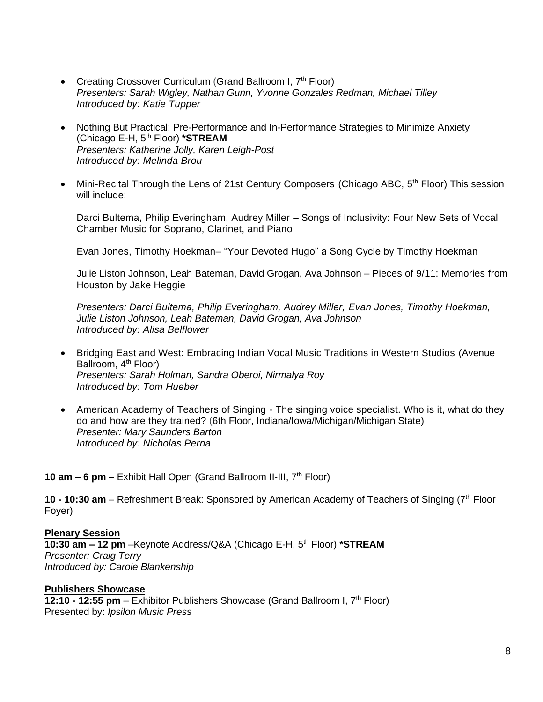- Creating Crossover Curriculum (Grand Ballroom I, 7<sup>th</sup> Floor) *Presenters: Sarah Wigley, Nathan Gunn, Yvonne Gonzales Redman, Michael Tilley Introduced by: Katie Tupper*
- Nothing But Practical: Pre-Performance and In-Performance Strategies to Minimize Anxiety (Chicago E-H, 5th Floor) **\*STREAM** *Presenters: Katherine Jolly, Karen Leigh-Post Introduced by: Melinda Brou*
- Mini-Recital Through the Lens of 21st Century Composers (Chicago ABC, 5<sup>th</sup> Floor) This session will include:

Darci Bultema, Philip Everingham, Audrey Miller – Songs of Inclusivity: Four New Sets of Vocal Chamber Music for Soprano, Clarinet, and Piano

Evan Jones, Timothy Hoekman– "Your Devoted Hugo" a Song Cycle by Timothy Hoekman

Julie Liston Johnson, Leah Bateman, David Grogan, Ava Johnson – Pieces of 9/11: Memories from Houston by Jake Heggie

*Presenters: Darci Bultema, Philip Everingham, Audrey Miller, Evan Jones, Timothy Hoekman, Julie Liston Johnson, Leah Bateman, David Grogan, Ava Johnson Introduced by: Alisa Belflower*

- Bridging East and West: Embracing Indian Vocal Music Traditions in Western Studios (Avenue Ballroom, 4<sup>th</sup> Floor) *Presenters: Sarah Holman, Sandra Oberoi, Nirmalya Roy Introduced by: Tom Hueber*
- American Academy of Teachers of Singing The singing voice specialist. Who is it, what do they do and how are they trained? (6th Floor, Indiana/Iowa/Michigan/Michigan State) *Presenter: Mary Saunders Barton Introduced by: Nicholas Perna*

**10 am – 6 pm** – Exhibit Hall Open (Grand Ballroom II-III, 7th Floor)

10 **- 10:30 am** – Refreshment Break: Sponsored by American Academy of Teachers of Singing (7<sup>th</sup> Floor Foyer)

**Plenary Session 10:30 am – 12 pm** –Keynote Address/Q&A (Chicago E-H, 5th Floor) **\*STREAM** *Presenter: Craig Terry Introduced by: Carole Blankenship*

### **Publishers Showcase**

**12:10 - 12:55 pm** – Exhibitor Publishers Showcase (Grand Ballroom I, 7th Floor) Presented by: *Ipsilon Music Press*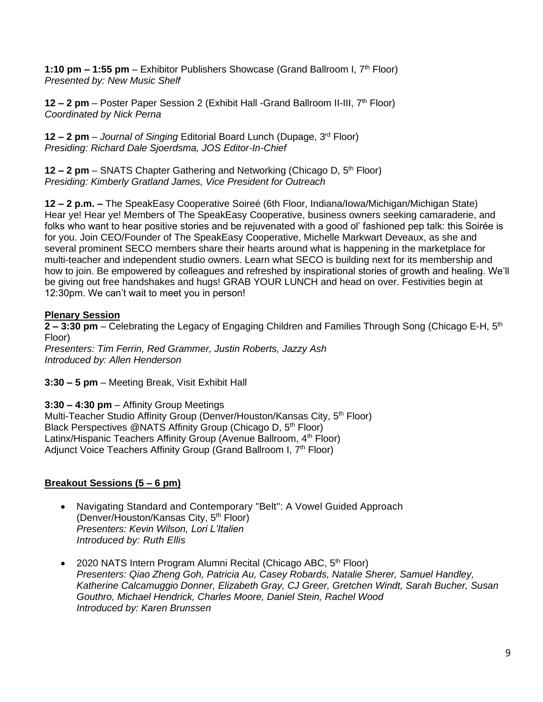**1:10 pm – 1:55 pm** – Exhibitor Publishers Showcase (Grand Ballroom I, 7<sup>th</sup> Floor) *Presented by: New Music Shelf*

**12 – 2 pm** – Poster Paper Session 2 (Exhibit Hall -Grand Ballroom II-III, 7<sup>th</sup> Floor) *Coordinated by Nick Perna*

**12 – 2 pm** – *Journal of Singing* Editorial Board Lunch (Dupage, 3rd Floor) *Presiding: Richard Dale Sjoerdsma, JOS Editor-In-Chief*

**12 – 2 pm** – SNATS Chapter Gathering and Networking (Chicago D, 5th Floor) *Presiding: Kimberly Gratland James, Vice President for Outreach*

**12 – 2 p.m. –** The SpeakEasy Cooperative Soireé (6th Floor, Indiana/Iowa/Michigan/Michigan State) Hear ye! Hear ye! Members of The SpeakEasy Cooperative, business owners seeking camaraderie, and folks who want to hear positive stories and be rejuvenated with a good ol' fashioned pep talk: this Soirée is for you. Join CEO/Founder of The SpeakEasy Cooperative, Michelle Markwart Deveaux, as she and several prominent SECO members share their hearts around what is happening in the marketplace for multi-teacher and independent studio owners. Learn what SECO is building next for its membership and how to join. Be empowered by colleagues and refreshed by inspirational stories of growth and healing. We'll be giving out free handshakes and hugs! GRAB YOUR LUNCH and head on over. Festivities begin at 12:30pm. We can't wait to meet you in person!

### **Plenary Session**

**2 – 3:30 pm** – Celebrating the Legacy of Engaging Children and Families Through Song (Chicago E-H, 5th Floor)

*Presenters: Tim Ferrin, Red Grammer, Justin Roberts, Jazzy Ash Introduced by: Allen Henderson*

**3:30 – 5 pm** – Meeting Break, Visit Exhibit Hall

**3:30 – 4:30 pm** – Affinity Group Meetings

Multi-Teacher Studio Affinity Group (Denver/Houston/Kansas City, 5<sup>th</sup> Floor) Black Perspectives @NATS Affinity Group (Chicago D, 5<sup>th</sup> Floor) Latinx/Hispanic Teachers Affinity Group (Avenue Ballroom, 4<sup>th</sup> Floor) Adjunct Voice Teachers Affinity Group (Grand Ballroom I, 7<sup>th</sup> Floor)

### **Breakout Sessions (5 – 6 pm)**

- Navigating Standard and Contemporary "Belt": A Vowel Guided Approach (Denver/Houston/Kansas City, 5<sup>th</sup> Floor) *Presenters: Kevin Wilson, Lori L'Italien Introduced by: Ruth Ellis*
- 2020 NATS Intern Program Alumni Recital (Chicago ABC,  $5<sup>th</sup>$  Floor) *Presenters: Qiao Zheng Goh, Patricia Au, Casey Robards, Natalie Sherer, Samuel Handley, Katherine Calcamuggio Donner, Elizabeth Gray, CJ Greer, Gretchen Windt, Sarah Bucher, Susan Gouthro, Michael Hendrick, Charles Moore, Daniel Stein, Rachel Wood Introduced by: Karen Brunssen*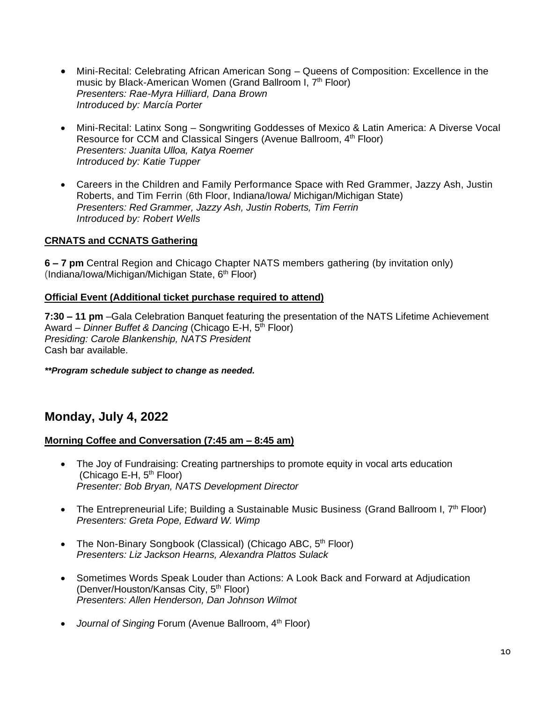- Mini-Recital: Celebrating African American Song Queens of Composition: Excellence in the music by Black-American Women (Grand Ballroom I, 7<sup>th</sup> Floor) *Presenters: Rae-Myra Hilliard, Dana Brown Introduced by: Marcía Porter*
- Mini-Recital: Latinx Song Songwriting Goddesses of Mexico & Latin America: A Diverse Vocal Resource for CCM and Classical Singers (Avenue Ballroom, 4<sup>th</sup> Floor) *Presenters: Juanita Ulloa, Katya Roemer Introduced by: Katie Tupper*
- Careers in the Children and Family Performance Space with Red Grammer, Jazzy Ash, Justin Roberts, and Tim Ferrin (6th Floor, Indiana/Iowa/ Michigan/Michigan State) *Presenters: Red Grammer, Jazzy Ash, Justin Roberts, Tim Ferrin Introduced by: Robert Wells*

### **CRNATS and CCNATS Gathering**

**6 – 7 pm** Central Region and Chicago Chapter NATS members gathering (by invitation only)  $(Indiana/Iowa/Michael/Michael/Michael)$  State,  $6<sup>th</sup> Floor)$ 

### **Official Event (Additional ticket purchase required to attend)**

**7:30 – 11 pm** [–Gala Celebration Banquet featuring](http://www.nats.org/Boston_2014_-_Special_Events.html#Banquet) the presentation of the NATS Lifetime Achievement Award – *Dinner Buffet & Dancing* (Chicago E-H, 5<sup>th</sup> Floor) *Presiding: Carole Blankenship, NATS President* Cash bar available.

*\*\*Program schedule subject to change as needed.*

# **Monday, July 4, 2022**

### **Morning Coffee and Conversation (7:45 am – 8:45 am)**

- The Joy of Fundraising: Creating partnerships to promote equity in vocal arts education (Chicago E-H, 5<sup>th</sup> Floor) *Presenter: Bob Bryan, NATS Development Director*
- The Entrepreneurial Life; Building a Sustainable Music Business (Grand Ballroom I,  $7<sup>th</sup>$  Floor) *Presenters: Greta Pope, Edward W. Wimp*
- The Non-Binary Songbook (Classical) (Chicago ABC, 5<sup>th</sup> Floor) *Presenters: Liz Jackson Hearns, Alexandra Plattos Sulack*
- Sometimes Words Speak Louder than Actions: A Look Back and Forward at Adjudication (Denver/Houston/Kansas City, 5<sup>th</sup> Floor) *Presenters: Allen Henderson, Dan Johnson Wilmot*
- *Journal of Singing* Forum (Avenue Ballroom, 4<sup>th</sup> Floor)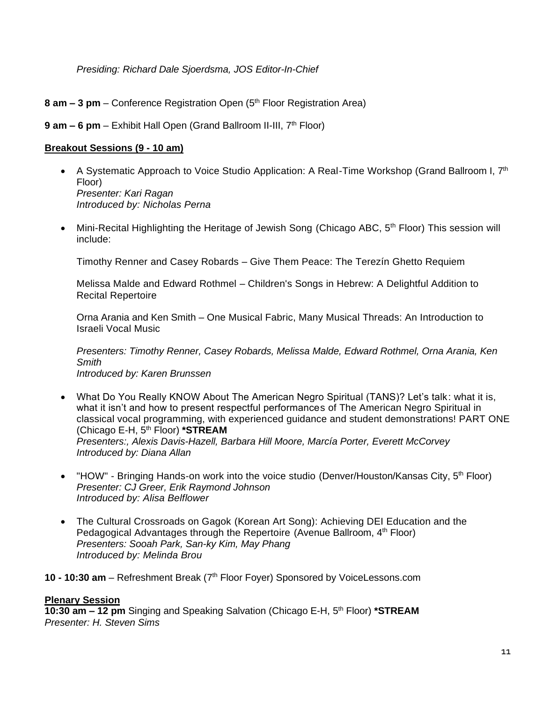*Presiding: Richard Dale Sjoerdsma, JOS Editor-In-Chief*

**8 am – 3 pm** – Conference Registration Open (5 th Floor Registration Area)

**9 am – 6 pm** – Exhibit Hall Open (Grand Ballroom II-III, 7th Floor)

### **Breakout Sessions (9 - 10 am)**

- A Systematic Approach to Voice Studio Application: A Real-Time Workshop (Grand Ballroom I,  $7<sup>th</sup>$ Floor) *Presenter: Kari Ragan Introduced by: Nicholas Perna*
- Mini-Recital Highlighting the Heritage of Jewish Song (Chicago ABC, 5<sup>th</sup> Floor) This session will include:

Timothy Renner and Casey Robards – Give Them Peace: The Terezín Ghetto Requiem

Melissa Malde and Edward Rothmel – Children's Songs in Hebrew: A Delightful Addition to Recital Repertoire

Orna Arania and Ken Smith – One Musical Fabric, Many Musical Threads: An Introduction to Israeli Vocal Music

*Presenters: Timothy Renner, Casey Robards, Melissa Malde, Edward Rothmel, Orna Arania, Ken Smith*

- *Introduced by: Karen Brunssen*
- What Do You Really KNOW About The American Negro Spiritual (TANS)? Let's talk: what it is, what it isn't and how to present respectful performances of The American Negro Spiritual in classical vocal programming, with experienced guidance and student demonstrations! PART ONE (Chicago E-H, 5th Floor) **\*STREAM** *Presenters:, Alexis Davis-Hazell, Barbara Hill Moore, Marcía Porter, Everett McCorvey Introduced by: Diana Allan*
- "HOW" Bringing Hands-on work into the voice studio (Denver/Houston/Kansas City,  $5<sup>th</sup>$  Floor) *Presenter: CJ Greer, Erik Raymond Johnson Introduced by: Alisa Belflower*
- The Cultural Crossroads on Gagok (Korean Art Song): Achieving DEI Education and the Pedagogical Advantages through the Repertoire (Avenue Ballroom, 4<sup>th</sup> Floor) *Presenters: Sooah Park, San-ky Kim, May Phang Introduced by: Melinda Brou*
- **10 - 10:30 am** Refreshment Break (7 th Floor Foyer) Sponsored by VoiceLessons.com

### **Plenary Session**

**10:30 am – 12 pm** Singing and Speaking Salvation (Chicago E-H, 5th Floor) **\*STREAM** *Presenter: H. Steven Sims*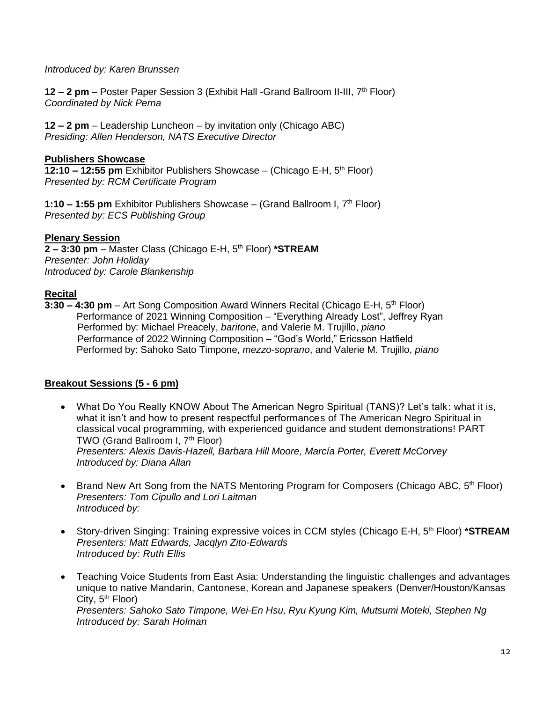#### *Introduced by: Karen Brunssen*

**12 – 2 pm** – Poster Paper Session 3 (Exhibit Hall -Grand Ballroom II-III, 7th Floor) *Coordinated by Nick Perna*

**12 – 2 pm** – Leadership Luncheon – by invitation only (Chicago ABC) *Presiding: Allen Henderson, NATS Executive Director*

#### **Publishers Showcase**

**12:10 – 12:55 pm** Exhibitor Publishers Showcase – (Chicago E-H, 5th Floor) *Presented by: RCM Certificate Program*

1:10 - 1:55 pm Exhibitor Publishers Showcase - (Grand Ballroom I, 7<sup>th</sup> Floor) *Presented by: ECS Publishing Group*

### **Plenary Session**

**2 – 3:30 pm** – Master Class (Chicago E-H, 5th Floor) **\*STREAM** *Presenter: John Holiday Introduced by: Carole Blankenship*

#### **Recital**

**3:30 – 4:30 pm** – Art Song Composition Award Winners Recital (Chicago E-H, 5th Floor) Performance of 2021 Winning Composition – "Everything Already Lost", Jeffrey Ryan Performed by: Michael Preacely, *baritone*, and Valerie M. Trujillo, *piano* Performance of 2022 Winning Composition – "God's World," Ericsson Hatfield Performed by: Sahoko Sato Timpone, *mezzo-soprano*, and Valerie M. Trujillo, *piano*

### **Breakout Sessions (5 - 6 pm)**

- What Do You Really KNOW About The American Negro Spiritual (TANS)? Let's talk: what it is, what it isn't and how to present respectful performances of The American Negro Spiritual in classical vocal programming, with experienced guidance and student demonstrations! PART TWO (Grand Ballroom I, 7<sup>th</sup> Floor) *Presenters: Alexis Davis-Hazell, Barbara Hill Moore, Marcía Porter, Everett McCorvey Introduced by: Diana Allan*
- Brand New Art Song from the NATS Mentoring Program for Composers (Chicago ABC,  $5<sup>th</sup>$  Floor) *Presenters: Tom Cipullo and Lori Laitman Introduced by:*
- Story-driven Singing: Training expressive voices in CCM styles (Chicago E-H, 5<sup>th</sup> Floor) \*STREAM *Presenters: Matt Edwards, Jacqlyn Zito-Edwards Introduced by: Ruth Ellis*
- Teaching Voice Students from East Asia: Understanding the linguistic challenges and advantages unique to native Mandarin, Cantonese, Korean and Japanese speakers (Denver/Houston/Kansas City, 5<sup>th</sup> Floor) *Presenters: Sahoko Sato Timpone, Wei-En Hsu, Ryu Kyung Kim, Mutsumi Moteki, Stephen Ng Introduced by: Sarah Holman*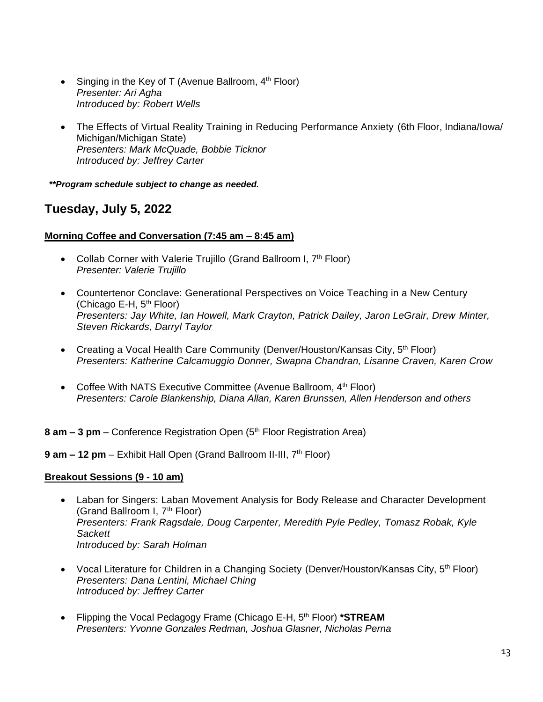- Singing in the Key of T (Avenue Ballroom,  $4<sup>th</sup>$  Floor) *Presenter: Ari Agha Introduced by: Robert Wells*
- The Effects of Virtual Reality Training in Reducing Performance Anxiety (6th Floor, Indiana/Iowa/ Michigan/Michigan State) *Presenters: Mark McQuade, Bobbie Ticknor Introduced by: Jeffrey Carter*

*\*\*Program schedule subject to change as needed.*

# **Tuesday, July 5, 2022**

### **Morning Coffee and Conversation (7:45 am – 8:45 am)**

- Collab Corner with Valerie Trujillo (Grand Ballroom I, 7<sup>th</sup> Floor) *Presenter: Valerie Trujillo*
- Countertenor Conclave: Generational Perspectives on Voice Teaching in a New Century (Chicago E-H,  $5<sup>th</sup>$  Floor) *Presenters: Jay White, Ian Howell, Mark Crayton, Patrick Dailey, Jaron LeGrair, Drew Minter, Steven Rickards, Darryl Taylor*
- Creating a Vocal Health Care Community (Denver/Houston/Kansas City, 5<sup>th</sup> Floor) *Presenters: Katherine Calcamuggio Donner, Swapna Chandran, Lisanne Craven, Karen Crow*
- Coffee With NATS Executive Committee (Avenue Ballroom, 4<sup>th</sup> Floor) *Presenters: Carole Blankenship, Diana Allan, Karen Brunssen, Allen Henderson and others*

**8 am – 3 pm** – Conference Registration Open (5<sup>th</sup> Floor Registration Area)

**9 am – 12 pm** – Exhibit Hall Open (Grand Ballroom II-III, 7th Floor)

### **Breakout Sessions (9 - 10 am)**

- Laban for Singers: Laban Movement Analysis for Body Release and Character Development (Grand Ballroom I, 7<sup>th</sup> Floor) *Presenters: Frank Ragsdale, Doug Carpenter, Meredith Pyle Pedley, Tomasz Robak, Kyle Sackett Introduced by: Sarah Holman*
- Vocal Literature for Children in a Changing Society (Denver/Houston/Kansas City,  $5<sup>th</sup>$  Floor) *Presenters: Dana Lentini, Michael Ching Introduced by: Jeffrey Carter*
- Flipping the Vocal Pedagogy Frame (Chicago E-H, 5<sup>th</sup> Floor) **\*STREAM** *Presenters: Yvonne Gonzales Redman, Joshua Glasner, Nicholas Perna*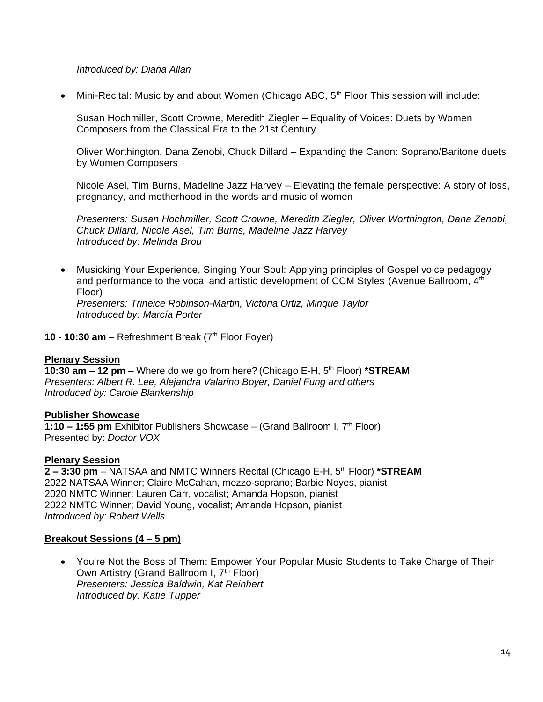#### *Introduced by: Diana Allan*

Mini-Recital: Music by and about Women (Chicago ABC, 5<sup>th</sup> Floor This session will include:

Susan Hochmiller, Scott Crowne, Meredith Ziegler – Equality of Voices: Duets by Women Composers from the Classical Era to the 21st Century

Oliver Worthington, Dana Zenobi, Chuck Dillard – Expanding the Canon: Soprano/Baritone duets by Women Composers

Nicole Asel, Tim Burns, Madeline Jazz Harvey – Elevating the female perspective: A story of loss, pregnancy, and motherhood in the words and music of women

*Presenters: Susan Hochmiller, Scott Crowne, Meredith Ziegler, Oliver Worthington, Dana Zenobi, Chuck Dillard, Nicole Asel, Tim Burns, Madeline Jazz Harvey Introduced by: Melinda Brou*

• Musicking Your Experience, Singing Your Soul: Applying principles of Gospel voice pedagogy and performance to the vocal and artistic development of CCM Styles (Avenue Ballroom, 4<sup>th</sup>) Floor) *Presenters: Trineice Robinson-Martin, Victoria Ortiz, Minque Taylor Introduced by: Marcía Porter*

**10 - 10:30 am** – Refreshment Break (7 th Floor Foyer)

#### **Plenary Session**

**10:30 am – 12 pm** – Where do we go from here? (Chicago E-H, 5th Floor) **\*STREAM** *Presenters: Albert R. Lee, Alejandra Valarino Boyer, Daniel Fung and others Introduced by: Carole Blankenship*

#### **Publisher Showcase**

**1:10 – 1:55 pm** Exhibitor Publishers Showcase – (Grand Ballroom I, 7th Floor) Presented by: *Doctor VOX*

#### **Plenary Session**

**2 – 3:30 pm** – NATSAA and NMTC Winners Recital (Chicago E-H, 5th Floor) **\*STREAM** 2022 NATSAA Winner; Claire McCahan, mezzo-soprano; Barbie Noyes, pianist 2020 NMTC Winner: Lauren Carr, vocalist; Amanda Hopson, pianist 2022 NMTC Winner; David Young, vocalist; Amanda Hopson, pianist *Introduced by: Robert Wells*

#### **Breakout Sessions (4 – 5 pm)**

• You're Not the Boss of Them: Empower Your Popular Music Students to Take Charge of Their Own Artistry (Grand Ballroom I, 7<sup>th</sup> Floor) *Presenters: Jessica Baldwin, Kat Reinhert Introduced by: Katie Tupper*